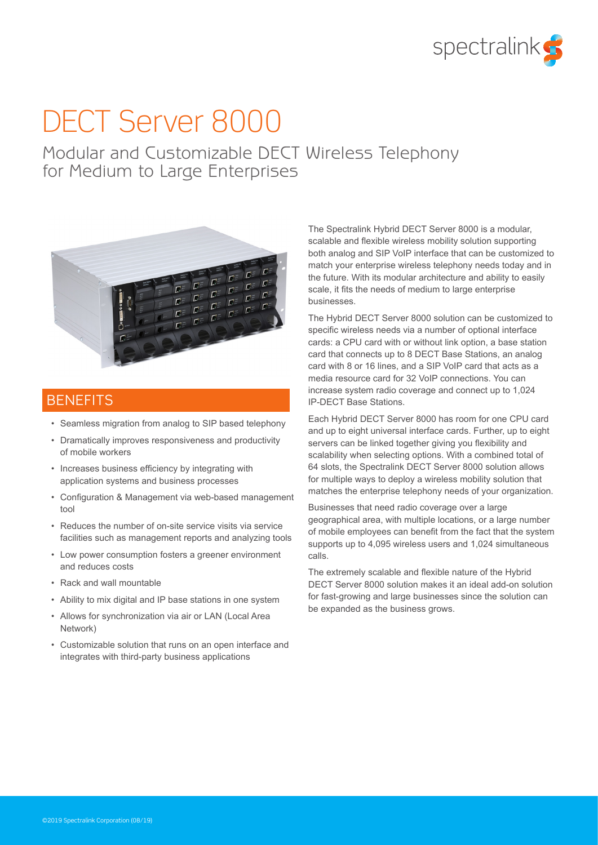

# DECT Server 8000

Modular and Customizable DECT Wireless Telephony for Medium to Large Enterprises



# **BENEFITS**

- Seamless migration from analog to SIP based telephony
- Dramatically improves responsiveness and productivity of mobile workers
- Increases business efficiency by integrating with application systems and business processes
- Configuration & Management via web-based management tool
- Reduces the number of on-site service visits via service facilities such as management reports and analyzing tools
- Low power consumption fosters a greener environment and reduces costs
- Rack and wall mountable
- Ability to mix digital and IP base stations in one system
- Allows for synchronization via air or LAN (Local Area Network)
- Customizable solution that runs on an open interface and integrates with third-party business applications

The Spectralink Hybrid DECT Server 8000 is a modular, scalable and flexible wireless mobility solution supporting both analog and SIP VoIP interface that can be customized to match your enterprise wireless telephony needs today and in the future. With its modular architecture and ability to easily scale, it fits the needs of medium to large enterprise businesses.

The Hybrid DECT Server 8000 solution can be customized to specific wireless needs via a number of optional interface cards: a CPU card with or without link option, a base station card that connects up to 8 DECT Base Stations, an analog card with 8 or 16 lines, and a SIP VoIP card that acts as a media resource card for 32 VoIP connections. You can increase system radio coverage and connect up to 1,024 IP-DECT Base Stations.

Each Hybrid DECT Server 8000 has room for one CPU card and up to eight universal interface cards. Further, up to eight servers can be linked together giving you flexibility and scalability when selecting options. With a combined total of 64 slots, the Spectralink DECT Server 8000 solution allows for multiple ways to deploy a wireless mobility solution that matches the enterprise telephony needs of your organization.

Businesses that need radio coverage over a large geographical area, with multiple locations, or a large number of mobile employees can benefit from the fact that the system supports up to 4,095 wireless users and 1,024 simultaneous calls.

The extremely scalable and flexible nature of the Hybrid DECT Server 8000 solution makes it an ideal add-on solution for fast-growing and large businesses since the solution can be expanded as the business grows.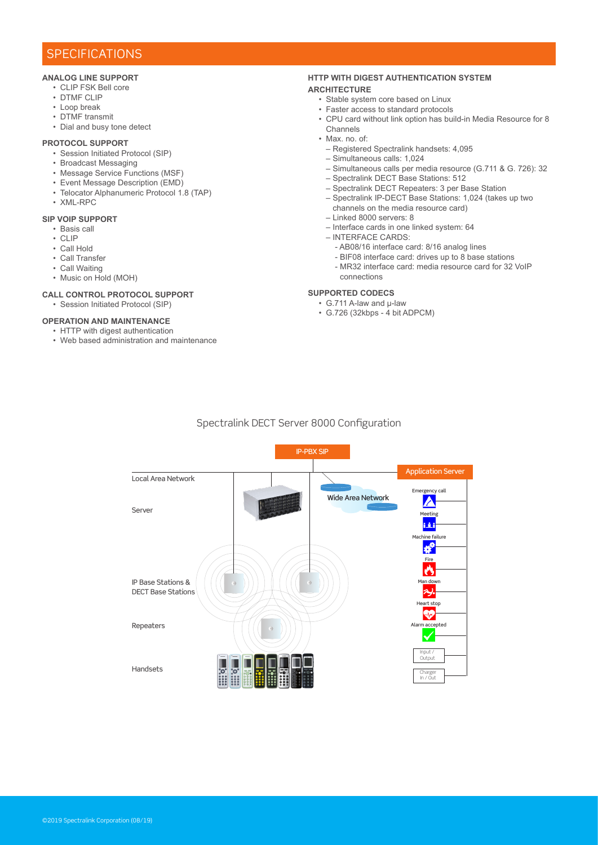# **SPECIFICATIONS**

# **ANALOG LINE SUPPORT**

- CLIP FSK Bell core
- DTMF CLIP
- Loop break
- DTMF transmit
- Dial and busy tone detect

#### **PROTOCOL SUPPORT**

- Session Initiated Protocol (SIP)
- Broadcast Messaging
- Message Service Functions (MSF)
- Event Message Description (EMD)
- Telocator Alphanumeric Protocol 1.8 (TAP)
- XML-RPC

#### **SIP VOIP SUPPORT**

- Basis call
- $\cdot$  CLIP
- Call Hold
- Call Transfer
- Call Waiting
- Music on Hold (MOH)

## **CALL CONTROL PROTOCOL SUPPORT**

• Session Initiated Protocol (SIP)

# **OPERATION AND MAINTENANCE**

- HTTP with digest authentication
- Web based administration and maintenance

# **HTTP WITH DIGEST AUTHENTICATION SYSTEM**

## **ARCHITECTURE**

- Stable system core based on Linux
- Faster access to standard protocols
- CPU card without link option has build-in Media Resource for 8 Channels
- Max. no. of:
	- Registered Spectralink handsets: 4,095
- Simultaneous calls: 1,024
- Simultaneous calls per media resource (G.711 & G. 726): 32
- Spectralink DECT Base Stations: 512
- Spectralink DECT Repeaters: 3 per Base Station
- Spectralink IP-DECT Base Stations: 1,024 (takes up two channels on the media resource card)
- Linked 8000 servers: 8
- Interface cards in one linked system: 64
- INTERFACE CARDS:
	- AB08/16 interface card: 8/16 analog lines
	- BIF08 interface card: drives up to 8 base stations
	- MR32 interface card: media resource card for 32 VoIP connections

# **SUPPORTED CODECS**

- G.711 A-law and µ-law
- G.726 (32kbps 4 bit ADPCM)

# Spectralink DECT Server 8000 Configuration